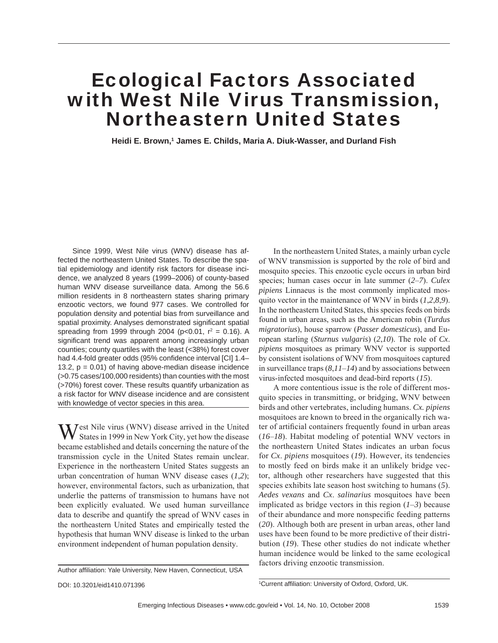# Ecological Factors Associated with West Nile Virus Transmission, Northeastern United States

Heidi E. Brown,<sup>1</sup> James E. Childs, Maria A. Diuk-Wasser, and Durland Fish

Since 1999, West Nile virus (WNV) disease has affected the northeastern United States. To describe the spatial epidemiology and identify risk factors for disease incidence, we analyzed 8 years (1999–2006) of county-based human WNV disease surveillance data. Among the 56.6 million residents in 8 northeastern states sharing primary enzootic vectors, we found 977 cases. We controlled for population density and potential bias from surveillance and spatial proximity. Analyses demonstrated significant spatial spreading from 1999 through 2004 (p<0.01,  $r^2 = 0.16$ ). A significant trend was apparent among increasingly urban counties; county quartiles with the least (<38%) forest cover had 4.4-fold greater odds (95% confidence interval [CI] 1.4-13.2,  $p = 0.01$ ) of having above-median disease incidence (>0.75 cases/100,000 residents) than counties with the most (>70%) forest cover. These results quantify urbanization as a risk factor for WNV disease incidence and are consistent with knowledge of vector species in this area.

West Nile virus (WNV) disease arrived in the United States in 1999 in New York City, yet how the disease became established and details concerning the nature of the transmission cycle in the United States remain unclear. Experience in the northeastern United States suggests an urban concentration of human WNV disease cases (*1*,*2*); however, environmental factors, such as urbanization, that underlie the patterns of transmission to humans have not been explicitly evaluated. We used human surveillance data to describe and quantify the spread of WNV cases in the northeastern United States and empirically tested the hypothesis that human WNV disease is linked to the urban environment independent of human population density.

DOI: 10.3201/eid1410.071396 <sup>1</sup>

In the northeastern United States, a mainly urban cycle of WNV transmission is supported by the role of bird and mosquito species. This enzootic cycle occurs in urban bird species; human cases occur in late summer (*2*–*7*). *Culex pipiens* Linnaeus is the most commonly implicated mosquito vector in the maintenance of WNV in birds (*1*,*2*,*8*,*9*). In the northeastern United States, this species feeds on birds found in urban areas, such as the American robin (*Turdus migratorius*), house sparrow (*Passer domesticus*), and European starling (*Sturnus vulgaris*) (*2*,*10*). The role of *Cx*. *pipiens* mosquitoes as primary WNV vector is supported by consistent isolations of WNV from mosquitoes captured in surveillance traps (*8*,*11*–*14*) and by associations between virus-infected mosquitoes and dead-bird reports (*15*).

A more contentious issue is the role of different mosquito species in transmitting, or bridging, WNV between birds and other vertebrates, including humans. *Cx. pipiens* mosquitoes are known to breed in the organically rich water of artificial containers frequently found in urban areas (*16*–*18*). Habitat modeling of potential WNV vectors in the northeastern United States indicates an urban focus for *Cx*. *pipiens* mosquitoes (*19*). However, its tendencies to mostly feed on birds make it an unlikely bridge vector, although other researchers have suggested that this species exhibits late season host switching to humans (*5*). *Aedes vexans* and *Cx*. *salinarius* mosquitoes have been implicated as bridge vectors in this region (*1*–*3*) because of their abundance and more nonspecific feeding patterns (*20*). Although both are present in urban areas, other land uses have been found to be more predictive of their distribution (*19*). These other studies do not indicate whether human incidence would be linked to the same ecological factors driving enzootic transmission.

Author affiliation: Yale University, New Haven, Connecticut, USA

<sup>&</sup>lt;sup>1</sup>Current affiliation: University of Oxford, Oxford, UK.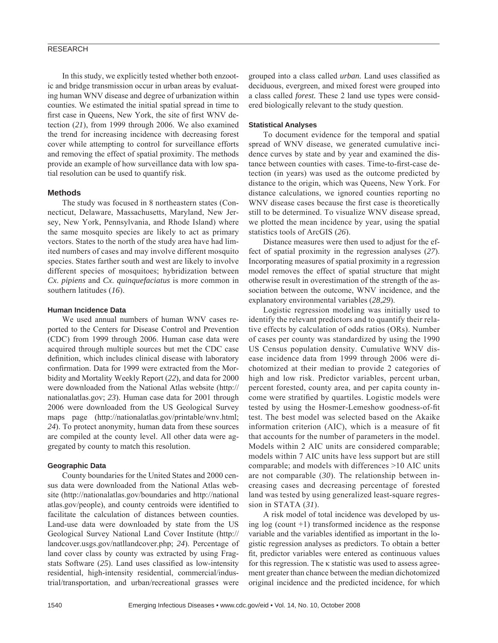# RESEARCH

In this study, we explicitly tested whether both enzootic and bridge transmission occur in urban areas by evaluating human WNV disease and degree of urbanization within counties. We estimated the initial spatial spread in time to first case in Queens, New York, the site of first WNV detection (*21*), from 1999 through 2006. We also examined the trend for increasing incidence with decreasing forest cover while attempting to control for surveillance efforts and removing the effect of spatial proximity. The methods provide an example of how surveillance data with low spatial resolution can be used to quantify risk.

#### **Methods**

The study was focused in 8 northeastern states (Connecticut, Delaware, Massachusetts, Maryland, New Jersey, New York, Pennsylvania, and Rhode Island) where the same mosquito species are likely to act as primary vectors. States to the north of the study area have had limited numbers of cases and may involve different mosquito species. States farther south and west are likely to involve different species of mosquitoes; hybridization between *Cx*. *pipiens* and *Cx*. *quinquefaciatus* is more common in southern latitudes (*16*).

#### **Human Incidence Data**

We used annual numbers of human WNV cases reported to the Centers for Disease Control and Prevention (CDC) from 1999 through 2006. Human case data were acquired through multiple sources but met the CDC case definition, which includes clinical disease with laboratory confirmation. Data for 1999 were extracted from the Morbidity and Mortality Weekly Report (*22*), and data for 2000 were downloaded from the National Atlas website (http:// nationalatlas.gov; *23*). Human case data for 2001 through 2006 were downloaded from the US Geological Survey maps page (http://nationalatlas.gov/printable/wnv.html; *24*). To protect anonymity, human data from these sources are compiled at the county level. All other data were aggregated by county to match this resolution.

#### **Geographic Data**

County boundaries for the United States and 2000 census data were downloaded from the National Atlas website (http://nationalatlas.gov/boundaries and http://national atlas.gov/people), and county centroids were identified to facilitate the calculation of distances between counties. Land-use data were downloaded by state from the US Geological Survey National Land Cover Institute (http:// landcover.usgs.gov/natllandcover.php; *24*). Percentage of land cover class by county was extracted by using Fragstats Software (25). Land uses classified as low-intensity residential, high-intensity residential, commercial/industrial/transportation, and urban/recreational grasses were grouped into a class called *urban*. Land uses classified as deciduous, evergreen, and mixed forest were grouped into a class called *forest.* These 2 land use types were considered biologically relevant to the study question.

#### **Statistical Analyses**

To document evidence for the temporal and spatial spread of WNV disease, we generated cumulative incidence curves by state and by year and examined the distance between counties with cases. Time-to-first-case detection (in years) was used as the outcome predicted by distance to the origin, which was Queens, New York. For distance calculations, we ignored counties reporting no WNV disease cases because the first case is theoretically still to be determined. To visualize WNV disease spread, we plotted the mean incidence by year, using the spatial statistics tools of ArcGIS (*26*).

Distance measures were then used to adjust for the effect of spatial proximity in the regression analyses (*27*). Incorporating measures of spatial proximity in a regression model removes the effect of spatial structure that might otherwise result in overestimation of the strength of the association between the outcome, WNV incidence, and the explanatory environmental variables (*28*,*29*).

Logistic regression modeling was initially used to identify the relevant predictors and to quantify their relative effects by calculation of odds ratios (ORs). Number of cases per county was standardized by using the 1990 US Census population density. Cumulative WNV disease incidence data from 1999 through 2006 were dichotomized at their median to provide 2 categories of high and low risk. Predictor variables, percent urban, percent forested, county area, and per capita county income were stratified by quartiles. Logistic models were tested by using the Hosmer-Lemeshow goodness-of-fit test. The best model was selected based on the Akaike information criterion  $(AIC)$ , which is a measure of fit that accounts for the number of parameters in the model. Models within 2 AIC units are considered comparable; models within 7 AIC units have less support but are still comparable; and models with differences >10 AIC units are not comparable (*30*). The relationship between increasing cases and decreasing percentage of forested land was tested by using generalized least-square regression in STATA (*31*).

A risk model of total incidence was developed by using  $log$  (count  $+1$ ) transformed incidence as the response variable and the variables identified as important in the logistic regression analyses as predictors. To obtain a better fit, predictor variables were entered as continuous values for this regression. The κ statistic was used to assess agreement greater than chance between the median dichotomized original incidence and the predicted incidence, for which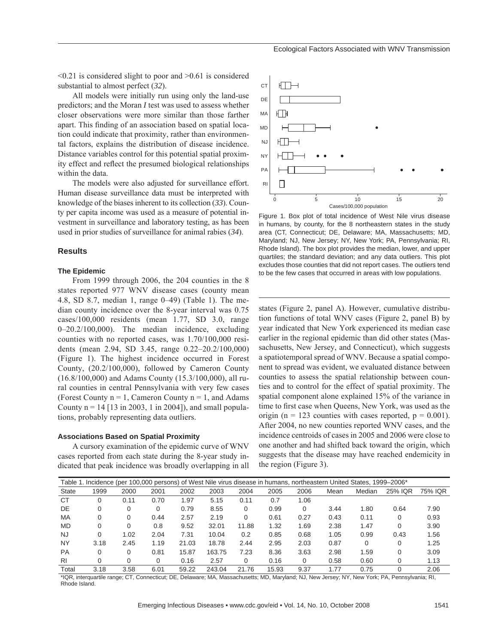$\leq 0.21$  is considered slight to poor and  $\geq 0.61$  is considered substantial to almost perfect (*32*).

All models were initially run using only the land-use predictors; and the Moran *I* test was used to assess whether closer observations were more similar than those farther apart. This finding of an association based on spatial location could indicate that proximity, rather than environmental factors, explains the distribution of disease incidence. Distance variables control for this potential spatial proximity effect and reflect the presumed biological relationships within the data.

The models were also adjusted for surveillance effort. Human disease surveillance data must be interpreted with knowledge of the biases inherent to its collection (*33*). County per capita income was used as a measure of potential investment in surveillance and laboratory testing, as has been used in prior studies of surveillance for animal rabies (*34*).

### **Results**

#### **The Epidemic**

From 1999 through 2006, the 204 counties in the 8 states reported 977 WNV disease cases (county mean 4.8, SD 8.7, median 1, range 0–49) (Table 1). The median county incidence over the 8-year interval was 0.75 cases/100,000 residents (mean 1.77, SD 3.0, range 0–20.2/100,000). The median incidence, excluding counties with no reported cases, was 1.70/100,000 residents (mean 2.94, SD 3.45, range 0.22–20.2/100,000) (Figure 1). The highest incidence occurred in Forest County, (20.2/100,000), followed by Cameron County (16.8/100,000) and Adams County (15.3/100,000), all rural counties in central Pennsylvania with very few cases (Forest County  $n = 1$ , Cameron County  $n = 1$ , and Adams County  $n = 14$  [13 in 2003, 1 in 2004]), and small populations, probably representing data outliers.

#### **Associations Based on Spatial Proximity**

A cursory examination of the epidemic curve of WNV cases reported from each state during the 8-year study indicated that peak incidence was broadly overlapping in all



Figure 1. Box plot of total incidence of West Nile virus disease in humans, by county, for the 8 northeastern states in the study area (CT, Connecticut; DE, Delaware; MA, Massachusetts; MD, Maryland; NJ, New Jersey; NY, New York; PA, Pennsylvania; RI, Rhode Island). The box plot provides the median, lower, and upper quartiles; the standard deviation; and any data outliers. This plot excludes those counties that did not report cases. The outliers tend to be the few cases that occurred in areas with low populations.

states (Figure 2, panel A). However, cumulative distribution functions of total WNV cases (Figure 2, panel B) by year indicated that New York experienced its median case earlier in the regional epidemic than did other states (Massachusetts, New Jersey, and Connecticut), which suggests a spatiotemporal spread of WNV. Because a spatial component to spread was evident, we evaluated distance between counties to assess the spatial relationship between counties and to control for the effect of spatial proximity. The spatial component alone explained 15% of the variance in time to first case when Queens, New York, was used as the origin (n = 123 counties with cases reported,  $p = 0.001$ ). After 2004, no new counties reported WNV cases, and the incidence centroids of cases in 2005 and 2006 were close to one another and had shifted back toward the origin, which suggests that the disease may have reached endemicity in the region (Figure 3).

| Table 1. Incidence (per 100,000 persons) of West Nile virus disease in humans, northeastern United States, 1999–2006* |      |          |          |       |        |       |       |          |      |        |          |         |
|-----------------------------------------------------------------------------------------------------------------------|------|----------|----------|-------|--------|-------|-------|----------|------|--------|----------|---------|
| State                                                                                                                 | 1999 | 2000     | 2001     | 2002  | 2003   | 2004  | 2005  | 2006     | Mean | Median | 25% IQR  | 75% IQR |
| <b>CT</b>                                                                                                             | 0    | 0.11     | 0.70     | 1.97  | 5.15   | 0.11  | 0.7   | 1.06     |      |        |          |         |
| DE                                                                                                                    | 0    | 0        | 0        | 0.79  | 8.55   | 0     | 0.99  | $\Omega$ | 3.44 | 1.80   | 0.64     | 7.90    |
| MA                                                                                                                    | 0    | 0        | 0.44     | 2.57  | 2.19   | 0     | 0.61  | 0.27     | 0.43 | 0.11   | $\Omega$ | 0.93    |
| <b>MD</b>                                                                                                             | 0    | $\Omega$ | 0.8      | 9.52  | 32.01  | 11.88 | 1.32  | 1.69     | 2.38 | 1.47   | 0        | 3.90    |
| <b>NJ</b>                                                                                                             | 0    | 1.02     | 2.04     | 7.31  | 10.04  | 0.2   | 0.85  | 0.68     | 1.05 | 0.99   | 0.43     | 1.56    |
| <b>NY</b>                                                                                                             | 3.18 | 2.45     | 1.19     | 21.03 | 18.78  | 2.44  | 2.95  | 2.03     | 0.87 | 0      | $\Omega$ | 1.25    |
| <b>PA</b>                                                                                                             | 0    | 0        | 0.81     | 15.87 | 163.75 | 7.23  | 8.36  | 3.63     | 2.98 | 1.59   | $\Omega$ | 3.09    |
| R <sub>1</sub>                                                                                                        | 0    | 0        | $\Omega$ | 0.16  | 2.57   | 0     | 0.16  | $\Omega$ | 0.58 | 0.60   |          | 1.13    |
| Total                                                                                                                 | 3.18 | 3.58     | 6.01     | 59.22 | 243.04 | 21.76 | 15.93 | 9.37     | 1.77 | 0.75   |          | 2.06    |

\*IQR, interquartile range; CT, Connecticut; DE, Delaware; MA, Massachusetts; MD, Maryland; NJ, New Jersey; NY, New York; PA, Pennsylvania; RI, Rhode Island.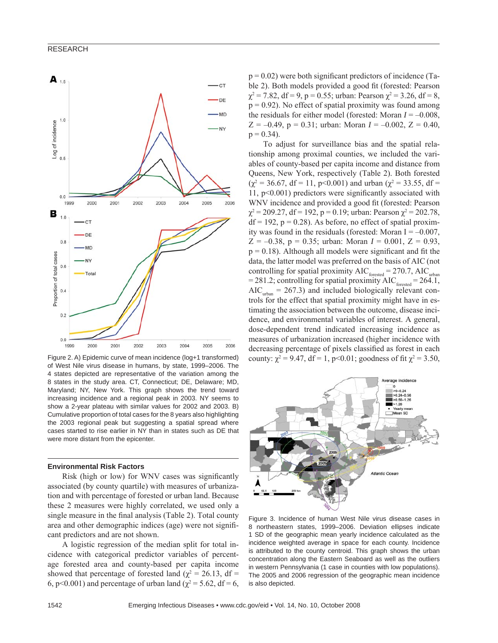

Figure 2. A) Epidemic curve of mean incidence (log+1 transformed) of West Nile virus disease in humans, by state, 1999–2006. The 4 states depicted are representative of the variation among the 8 states in the study area. CT, Connecticut; DE, Delaware; MD, Maryland; NY, New York. This graph shows the trend toward increasing incidence and a regional peak in 2003. NY seems to show a 2-year plateau with similar values for 2002 and 2003. B) Cumulative proportion of total cases for the 8 years also highlighting the 2003 regional peak but suggesting a spatial spread where cases started to rise earlier in NY than in states such as DE that were more distant from the epicenter.

#### **Environmental Risk Factors**

Risk (high or low) for WNV cases was significantly associated (by county quartile) with measures of urbanization and with percentage of forested or urban land. Because these 2 measures were highly correlated, we used only a single measure in the final analysis (Table 2). Total county area and other demographic indices (age) were not signifi cant predictors and are not shown.

A logistic regression of the median split for total incidence with categorical predictor variables of percentage forested area and county-based per capita income showed that percentage of forested land ( $\chi^2 = 26.13$ , df = 6, p<0.001) and percentage of urban land ( $\chi^2$  = 5.62, df = 6,

 $p = 0.02$ ) were both significant predictors of incidence (Table 2). Both models provided a good fit (forested: Pearson  $\chi^2$  = 7.82, df = 9, p = 0.55; urban: Pearson  $\chi^2$  = 3.26, df = 8,  $p = 0.92$ ). No effect of spatial proximity was found among the residuals for either model (forested: Moran  $I = -0.008$ ,  $Z = -0.49$ ,  $p = 0.31$ ; urban: Moran  $I = -0.002$ ,  $Z = 0.40$ ,  $p = 0.34$ ).

To adjust for surveillance bias and the spatial relationship among proximal counties, we included the variables of county-based per capita income and distance from Queens, New York, respectively (Table 2). Both forested  $(\chi^2 = 36.67, df = 11, p<0.001)$  and urban  $(\chi^2 = 33.55, df =$ 11,  $p<0.001$ ) predictors were significantly associated with WNV incidence and provided a good fit (forested: Pearson  $\chi^2$  = 209.27, df = 192, p = 0.19; urban: Pearson  $\chi^2$  = 202.78,  $df = 192$ ,  $p = 0.28$ ). As before, no effect of spatial proximity was found in the residuals (forested: Moran  $I = -0.007$ ,  $Z = -0.38$ ,  $p = 0.35$ ; urban: Moran  $I = 0.001$ ,  $Z = 0.93$ ,  $p = 0.18$ ). Although all models were significant and fit the data, the latter model was preferred on the basis of AIC (not controlling for spatial proximity  $AIC<sub>forced</sub> = 270.7$ ,  $AIC<sub>urban</sub>$ = 281.2; controlling for spatial proximity  $AIC<sub>forced</sub> = 264.1$ ,  $AIC_{\text{urban}} = 267.3$ ) and included biologically relevant controls for the effect that spatial proximity might have in estimating the association between the outcome, disease incidence, and environmental variables of interest. A general, dose-dependent trend indicated increasing incidence as measures of urbanization increased (higher incidence with decreasing percentage of pixels classified as forest in each county:  $\chi^2 = 9.47$ , df = 1, p<0.01; goodness of fit  $\chi^2 = 3.50$ ,



Figure 3. Incidence of human West Nile virus disease cases in 8 northeastern states, 1999–2006. Deviation ellipses indicate 1 SD of the geographic mean yearly incidence calculated as the incidence weighted average in space for each county. Incidence is attributed to the county centroid. This graph shows the urban concentration along the Eastern Seaboard as well as the outliers in western Pennsylvania (1 case in counties with low populations). The 2005 and 2006 regression of the geographic mean incidence is also depicted.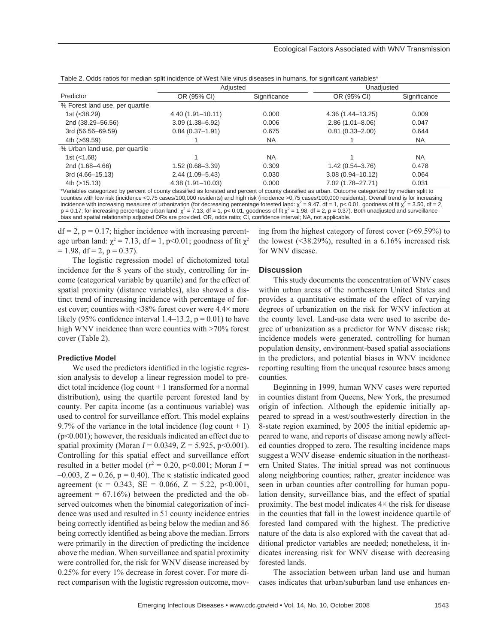| Table 2. Odds ratios for median split incidence of West Nile virus diseases in humans, for significant variables* |  |  |
|-------------------------------------------------------------------------------------------------------------------|--|--|
|                                                                                                                   |  |  |

|                                 | Adjusted             |              | ັ<br>Unadjusted      |              |  |
|---------------------------------|----------------------|--------------|----------------------|--------------|--|
| Predictor                       | OR (95% CI)          | Significance | OR (95% CI)          | Significance |  |
| % Forest land use, per quartile |                      |              |                      |              |  |
| 1st $(<38.29)$                  | $4.40(1.91 - 10.11)$ | 0.000        | $4.36(1.44 - 13.25)$ | 0.009        |  |
| 2nd (38.29-56.56)               | $3.09(1.38 - 6.92)$  | 0.006        | $2.86(1.01 - 8.06)$  | 0.047        |  |
| 3rd (56.56-69.59)               | $0.84(0.37-1.91)$    | 0.675        | $0.81(0.33 - 2.00)$  | 0.644        |  |
| 4th (>69.59)                    |                      | <b>NA</b>    |                      | <b>NA</b>    |  |
| % Urban land use, per quartile  |                      |              |                      |              |  |
| 1st $(<1.68)$                   |                      | <b>NA</b>    |                      | <b>NA</b>    |  |
| 2nd (1.68-4.66)                 | $1.52(0.68 - 3.39)$  | 0.309        | $1.42(0.54 - 3.76)$  | 0.478        |  |
| 3rd (4.66-15.13)                | $2.44(1.09 - 5.43)$  | 0.030        | $3.08(0.94 - 10.12)$ | 0.064        |  |
| 4th $( > 15.13)$                | $4.38(1.91 - 10.03)$ | 0.000        | 7.02 (1.78-27.71)    | 0.031        |  |

\*Variables categorized by percent of county classified as forested and percent of county classified as urban. Outcome categorized by median split to counties with low risk (incidence <0.75 cases/100,000 residents) and high risk (incidence >0.75 cases/100,000 residents). Overall trend is for increasing incidence with increasing measures of urbanization (for decreasing percentage forested land:  $\chi^2 = 9.47$ , df = 1, p< 0.01, goodness of fit  $\chi^2 = 3.50$ , df = 2,  $p = 0.17$ ; for increasing percentage urban land:  $\chi^2 = 7.13$ , df = 1, p< 0.01, goodness of fit  $\chi^2 = 1.98$ , df = 2, p = 0.37). Both unadjusted and surveillance bias and spatial relationship adjusted ORs are provided. OR, odds ratio; CI, confidence interval; NA, not applicable.

 $df = 2$ ,  $p = 0.17$ ; higher incidence with increasing percentage urban land:  $\chi^2 = 7.13$ , df = 1, p<0.01; goodness of fit  $\chi^2$  $= 1.98$ , df  $= 2$ , p  $= 0.37$ ).

The logistic regression model of dichotomized total incidence for the 8 years of the study, controlling for income (categorical variable by quartile) and for the effect of spatial proximity (distance variables), also showed a distinct trend of increasing incidence with percentage of forest cover; counties with <38% forest cover were 4.4× more likely (95% confidence interval 1.4–13.2,  $p = 0.01$ ) to have high WNV incidence than were counties with >70% forest cover (Table 2).

#### **Predictive Model**

We used the predictors identified in the logistic regression analysis to develop a linear regression model to predict total incidence (log count + 1 transformed for a normal distribution), using the quartile percent forested land by county. Per capita income (as a continuous variable) was used to control for surveillance effort. This model explains 9.7% of the variance in the total incidence (log count  $+1$ ) (p<0.001); however, the residuals indicated an effect due to spatial proximity (Moran  $I = 0.0349$ ,  $Z = 5.925$ , p<0.001). Controlling for this spatial effect and surveillance effort resulted in a better model ( $r^2 = 0.20$ , p<0.001; Moran  $I =$  $-0.003$ ,  $Z = 0.26$ ,  $p = 0.40$ ). The k statistic indicated good agreement ( $\kappa = 0.343$ , SE = 0.066, Z = 5.22, p<0.001, agreement  $= 67.16\%$ ) between the predicted and the observed outcomes when the binomial categorization of incidence was used and resulted in 51 county incidence entries being correctly identified as being below the median and 86 being correctly identified as being above the median. Errors were primarily in the direction of predicting the incidence above the median. When surveillance and spatial proximity were controlled for, the risk for WNV disease increased by 0.25% for every 1% decrease in forest cover. For more direct comparison with the logistic regression outcome, moving from the highest category of forest cover (>69.59%) to the lowest  $($ <38.29%), resulted in a 6.16% increased risk for WNV disease.

#### **Discussion**

This study documents the concentration of WNV cases within urban areas of the northeastern United States and provides a quantitative estimate of the effect of varying degrees of urbanization on the risk for WNV infection at the county level. Land-use data were used to ascribe degree of urbanization as a predictor for WNV disease risk; incidence models were generated, controlling for human population density, environment-based spatial associations in the predictors, and potential biases in WNV incidence reporting resulting from the unequal resource bases among counties.

Beginning in 1999, human WNV cases were reported in counties distant from Queens, New York, the presumed origin of infection. Although the epidemic initially appeared to spread in a west/southwesterly direction in the 8-state region examined, by 2005 the initial epidemic appeared to wane, and reports of disease among newly affected counties dropped to zero. The resulting incidence maps suggest a WNV disease–endemic situation in the northeastern United States. The initial spread was not continuous along neighboring counties; rather, greater incidence was seen in urban counties after controlling for human population density, surveillance bias, and the effect of spatial proximity. The best model indicates  $4 \times$  the risk for disease in the counties that fall in the lowest incidence quartile of forested land compared with the highest. The predictive nature of the data is also explored with the caveat that additional predictor variables are needed; nonetheless, it indicates increasing risk for WNV disease with decreasing forested lands.

The association between urban land use and human cases indicates that urban/suburban land use enhances en-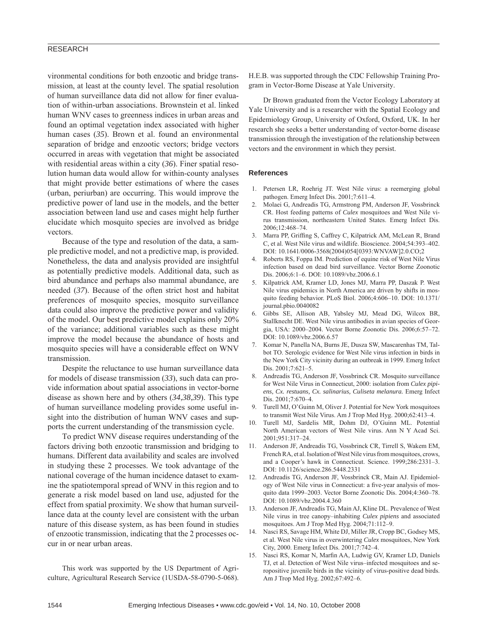# RESEARCH

vironmental conditions for both enzootic and bridge transmission, at least at the county level. The spatial resolution of human surveillance data did not allow for finer evaluation of within-urban associations. Brownstein et al. linked human WNV cases to greenness indices in urban areas and found an optimal vegetation index associated with higher human cases (*35*). Brown et al. found an environmental separation of bridge and enzootic vectors; bridge vectors occurred in areas with vegetation that might be associated with residential areas within a city (*36*). Finer spatial resolution human data would allow for within-county analyses that might provide better estimations of where the cases (urban, periurban) are occurring. This would improve the predictive power of land use in the models, and the better association between land use and cases might help further elucidate which mosquito species are involved as bridge vectors.

Because of the type and resolution of the data, a sample predictive model, and not a predictive map, is provided. Nonetheless, the data and analysis provided are insightful as potentially predictive models. Additional data, such as bird abundance and perhaps also mammal abundance, are needed (*37*). Because of the often strict host and habitat preferences of mosquito species, mosquito surveillance data could also improve the predictive power and validity of the model. Our best predictive model explains only 20% of the variance; additional variables such as these might improve the model because the abundance of hosts and mosquito species will have a considerable effect on WNV transmission.

Despite the reluctance to use human surveillance data for models of disease transmission (*33*), such data can provide information about spatial associations in vector-borne disease as shown here and by others (*34*,*38*,*39*). This type of human surveillance modeling provides some useful insight into the distribution of human WNV cases and supports the current understanding of the transmission cycle.

To predict WNV disease requires understanding of the factors driving both enzootic transmission and bridging to humans. Different data availability and scales are involved in studying these 2 processes. We took advantage of the national coverage of the human incidence dataset to examine the spatiotemporal spread of WNV in this region and to generate a risk model based on land use, adjusted for the effect from spatial proximity. We show that human surveillance data at the county level are consistent with the urban nature of this disease system, as has been found in studies of enzootic transmission, indicating that the 2 processes occur in or near urban areas.

This work was supported by the US Department of Agriculture, Agricultural Research Service (1USDA-58-0790-5-068). H.E.B. was supported through the CDC Fellowship Training Program in Vector-Borne Disease at Yale University.

Dr Brown graduated from the Vector Ecology Laboratory at Yale University and is a researcher with the Spatial Ecology and Epidemiology Group, University of Oxford, Oxford, UK. In her research she seeks a better understanding of vector-borne disease transmission through the investigation of the relationship between vectors and the environment in which they persist.

#### **References**

- 1. Petersen LR, Roehrig JT. West Nile virus: a reemerging global pathogen. Emerg Infect Dis. 2001;7:611–4.
- 2. Molaei G, Andreadis TG, Armstrong PM, Anderson JF, Vossbrinck CR. Host feeding patterns of *Culex* mosquitoes and West Nile virus transmission, northeastern United States. Emerg Infect Dis. 2006;12:468–74.
- 3. Marra PP, Griffing S, Caffrey C, Kilpatrick AM, McLean R, Brand C, et al. West Nile virus and wildlife. Bioscience. 2004;54:393–402. DOI: 10.1641/0006-3568(2004)054[0393:WNVAW]2.0.CO;2
- 4. Roberts RS, Foppa IM. Prediction of equine risk of West Nile Virus infection based on dead bird surveillance. Vector Borne Zoonotic Dis. 2006;6:1–6. DOI: 10.1089/vbz.2006.6.1
- 5. Kilpatrick AM, Kramer LD, Jones MJ, Marra PP, Daszak P. West Nile virus epidemics in North America are driven by shifts in mosquito feeding behavior. PLoS Biol. 2006;4:606–10. DOI: 10.1371/ journal.pbio.0040082
- 6. Gibbs SE, Allison AB, Yabsley MJ, Mead DG, Wilcox BR, Stallknecht DE. West Nile virus antibodies in avian species of Georgia, USA: 2000–2004. Vector Borne Zoonotic Dis. 2006;6:57–72. DOI: 10.1089/vbz.2006.6.57
- 7. Komar N, Panella NA, Burns JE, Dusza SW, Mascarenhas TM, Talbot TO. Serologic evidence for West Nile virus infection in birds in the New York City vicinity during an outbreak in 1999. Emerg Infect Dis. 2001;7:621–5.
- 8. Andreadis TG, Anderson JF, Vossbrinck CR. Mosquito surveillance for West Nile Virus in Connecticut, 2000: isolation from *Culex pipiens, Cx. restuans, Cx. salinarius, Culiseta melanura.* Emerg Infect Dis. 2001;7:670–4.
- 9. Turell MJ, O'Guinn M, Oliver J. Potential for New York mosquitoes to transmit West Nile Virus. Am J Trop Med Hyg. 2000;62:413–4.
- 10. Turell MJ, Sardelis MR, Dohm DJ, O'Guinn ML. Potential North American vectors of West Nile virus. Ann N Y Acad Sci. 2001;951:317–24.
- 11. Anderson JF, Andreadis TG, Vossbrinck CR, Tirrell S, Wakem EM, French RA, et al. Isolation of West Nile virus from mosquitoes, crows, and a Cooper's hawk in Connecticut. Science. 1999;286:2331–3. DOI: 10.1126/science.286.5448.2331
- 12. Andreadis TG, Anderson JF, Vossbrinck CR, Main AJ. Epidemiology of West Nile virus in Connecticut: a five-year analysis of mosquito data 1999–2003. Vector Borne Zoonotic Dis. 2004;4:360–78. DOI: 10.1089/vbz.2004.4.360
- 13. Anderson JF, Andreadis TG, Main AJ, Kline DL. Prevalence of West Nile virus in tree canopy–inhabiting *Culex pipiens* and associated mosquitoes. Am J Trop Med Hyg. 2004;71:112–9.
- 14. Nasci RS, Savage HM, White DJ, Miller JR, Cropp BC, Godsey MS, et al. West Nile virus in overwintering *Culex* mosquitoes, New York City, 2000. Emerg Infect Dis. 2001;7:742–4.
- 15. Nasci RS, Komar N, Marfin AA, Ludwig GV, Kramer LD, Daniels TJ, et al. Detection of West Nile virus–infected mosquitoes and seropositive juvenile birds in the vicinity of virus-positive dead birds. Am J Trop Med Hyg. 2002;67:492–6.